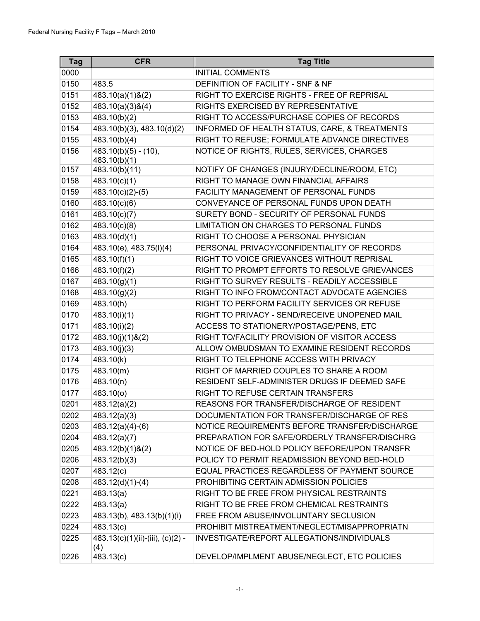| <b>Tag</b> | <b>CFR</b>                                | <b>Tag Title</b>                              |
|------------|-------------------------------------------|-----------------------------------------------|
| 0000       |                                           | <b>INITIAL COMMENTS</b>                       |
| 0150       | 483.5                                     | DEFINITION OF FACILITY - SNF & NF             |
| 0151       | 483.10(a)(1)&(2)                          | RIGHT TO EXERCISE RIGHTS - FREE OF REPRISAL   |
| 0152       | 483.10(a)(3)8(4)                          | RIGHTS EXERCISED BY REPRESENTATIVE            |
| 0153       | 483.10(b)(2)                              | RIGHT TO ACCESS/PURCHASE COPIES OF RECORDS    |
| 0154       | 483.10(b)(3), 483.10(d)(2)                | INFORMED OF HEALTH STATUS, CARE, & TREATMENTS |
| 0155       | 483.10(b)(4)                              | RIGHT TO REFUSE; FORMULATE ADVANCE DIRECTIVES |
| 0156       | $483.10(b)(5) - (10),$<br>483.10(b)(1)    | NOTICE OF RIGHTS, RULES, SERVICES, CHARGES    |
| 0157       | 483.10(b)(11)                             | NOTIFY OF CHANGES (INJURY/DECLINE/ROOM, ETC)  |
| 0158       | 483.10(c)(1)                              | RIGHT TO MANAGE OWN FINANCIAL AFFAIRS         |
| 0159       | $483.10(c)(2)-(5)$                        | FACILITY MANAGEMENT OF PERSONAL FUNDS         |
| 0160       | 483.10(c)(6)                              | CONVEYANCE OF PERSONAL FUNDS UPON DEATH       |
| 0161       | 483.10(c)(7)                              | SURETY BOND - SECURITY OF PERSONAL FUNDS      |
| 0162       | 483.10(c)(8)                              | LIMITATION ON CHARGES TO PERSONAL FUNDS       |
| 0163       | 483.10(d)(1)                              | RIGHT TO CHOOSE A PERSONAL PHYSICIAN          |
| 0164       | 483.10(e), 483.75(l)(4)                   | PERSONAL PRIVACY/CONFIDENTIALITY OF RECORDS   |
| 0165       | 483.10(f)(1)                              | RIGHT TO VOICE GRIEVANCES WITHOUT REPRISAL    |
| 0166       | 483.10(f)(2)                              | RIGHT TO PROMPT EFFORTS TO RESOLVE GRIEVANCES |
| 0167       | 483.10(g)(1)                              | RIGHT TO SURVEY RESULTS - READILY ACCESSIBLE  |
| 0168       | $\overline{483.10(g)(2)}$                 | RIGHT TO INFO FROM/CONTACT ADVOCATE AGENCIES  |
| 0169       | 483.10(h)                                 | RIGHT TO PERFORM FACILITY SERVICES OR REFUSE  |
| 0170       | 483.10(i)(1)                              | RIGHT TO PRIVACY - SEND/RECEIVE UNOPENED MAIL |
| 0171       | 483.10(i)(2)                              | ACCESS TO STATIONERY/POSTAGE/PENS, ETC        |
| 0172       | 483.10(j)(1)&(2)                          | RIGHT TO/FACILITY PROVISION OF VISITOR ACCESS |
| 0173       | 483.10(j)(3)                              | ALLOW OMBUDSMAN TO EXAMINE RESIDENT RECORDS   |
| 0174       | 483.10(k)                                 | RIGHT TO TELEPHONE ACCESS WITH PRIVACY        |
| 0175       | 483.10(m)                                 | RIGHT OF MARRIED COUPLES TO SHARE A ROOM      |
| 0176       | 483.10(n)                                 | RESIDENT SELF-ADMINISTER DRUGS IF DEEMED SAFE |
| 0177       | $\overline{483.10(0)}$                    | RIGHT TO REFUSE CERTAIN TRANSFERS             |
| 0201       | $\overline{483.12(a)(2)}$                 | REASONS FOR TRANSFER/DISCHARGE OF RESIDENT    |
| 0202       | 483.12(a)(3)                              | DOCUMENTATION FOR TRANSFER/DISCHARGE OF RES   |
| 0203       | $\overline{483.12(a)(4)-(6)}$             | NOTICE REQUIREMENTS BEFORE TRANSFER/DISCHARGE |
| 0204       | 483.12(a)(7)                              | PREPARATION FOR SAFE/ORDERLY TRANSFER/DISCHRG |
| 0205       | 483.12(b)(1)&(2)                          | NOTICE OF BED-HOLD POLICY BEFORE/UPON TRANSFR |
| 0206       | 483.12(b)(3)                              | POLICY TO PERMIT READMISSION BEYOND BED-HOLD  |
| 0207       | 483.12(c)                                 | EQUAL PRACTICES REGARDLESS OF PAYMENT SOURCE  |
| 0208       | 483.12(d)(1)-(4)                          | PROHIBITING CERTAIN ADMISSION POLICIES        |
| 0221       | 483.13(a)                                 | RIGHT TO BE FREE FROM PHYSICAL RESTRAINTS     |
| 0222       | 483.13(a)                                 | RIGHT TO BE FREE FROM CHEMICAL RESTRAINTS     |
| 0223       | 483.13(b), 483.13(b)(1)(i)                | FREE FROM ABUSE/INVOLUNTARY SECLUSION         |
| 0224       | 483.13(c)                                 | PROHIBIT MISTREATMENT/NEGLECT/MISAPPROPRIATN  |
| 0225       | $483.13(c)(1)(ii)-(iii), (c)(2) -$<br>(4) | INVESTIGATE/REPORT ALLEGATIONS/INDIVIDUALS    |
| 0226       | 483.13(c)                                 | DEVELOP/IMPLMENT ABUSE/NEGLECT, ETC POLICIES  |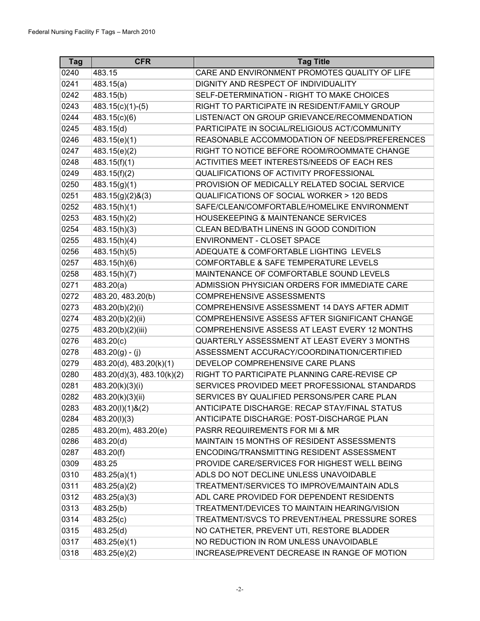| <b>Tag</b> | <b>CFR</b>                 | <b>Tag Title</b>                                     |
|------------|----------------------------|------------------------------------------------------|
| 0240       | 483.15                     | CARE AND ENVIRONMENT PROMOTES QUALITY OF LIFE        |
| 0241       | 483.15(a)                  | DIGNITY AND RESPECT OF INDIVIDUALITY                 |
| 0242       | 483.15(b)                  | SELF-DETERMINATION - RIGHT TO MAKE CHOICES           |
| 0243       | $483.15(c)(1)-(5)$         | RIGHT TO PARTICIPATE IN RESIDENT/FAMILY GROUP        |
| 0244       | 483.15(c)(6)               | LISTEN/ACT ON GROUP GRIEVANCE/RECOMMENDATION         |
| 0245       | 483.15(d)                  | PARTICIPATE IN SOCIAL/RELIGIOUS ACT/COMMUNITY        |
| 0246       | 483.15(e)(1)               | REASONABLE ACCOMMODATION OF NEEDS/PREFERENCES        |
| 0247       | 483.15(e)(2)               | RIGHT TO NOTICE BEFORE ROOM/ROOMMATE CHANGE          |
| 0248       | 483.15(f)(1)               | ACTIVITIES MEET INTERESTS/NEEDS OF EACH RES          |
| 0249       | 483.15(f)(2)               | QUALIFICATIONS OF ACTIVITY PROFESSIONAL              |
| 0250       | 483.15(g)(1)               | PROVISION OF MEDICALLY RELATED SOCIAL SERVICE        |
| 0251       | 483.15(g)(2)&(3)           | <b>QUALIFICATIONS OF SOCIAL WORKER &gt; 120 BEDS</b> |
| 0252       | 483.15(h)(1)               | SAFE/CLEAN/COMFORTABLE/HOMELIKE ENVIRONMENT          |
| 0253       | 483.15(h)(2)               | <b>HOUSEKEEPING &amp; MAINTENANCE SERVICES</b>       |
| 0254       | $\overline{483.15}$ (h)(3) | CLEAN BED/BATH LINENS IN GOOD CONDITION              |
| 0255       | 483.15(h)(4)               | <b>ENVIRONMENT - CLOSET SPACE</b>                    |
| 0256       | 483.15(h)(5)               | ADEQUATE & COMFORTABLE LIGHTING LEVELS               |
| 0257       | 483.15(h)(6)               | COMFORTABLE & SAFE TEMPERATURE LEVELS                |
| 0258       | 483.15(h)(7)               | MAINTENANCE OF COMFORTABLE SOUND LEVELS              |
| 0271       | 483.20(a)                  | ADMISSION PHYSICIAN ORDERS FOR IMMEDIATE CARE        |
| 0272       | 483.20, 483.20(b)          | <b>COMPREHENSIVE ASSESSMENTS</b>                     |
| 0273       | 483.20(b)(2)(i)            | COMPREHENSIVE ASSESSMENT 14 DAYS AFTER ADMIT         |
| 0274       | 483.20(b)(2)(ii)           | COMPREHENSIVE ASSESS AFTER SIGNIFICANT CHANGE        |
| 0275       | 483.20(b)(2)(iii)          | COMPREHENSIVE ASSESS AT LEAST EVERY 12 MONTHS        |
| 0276       | 483.20(c)                  | <b>QUARTERLY ASSESSMENT AT LEAST EVERY 3 MONTHS</b>  |
| 0278       | $483.20(g) - (j)$          | ASSESSMENT ACCURACY/COORDINATION/CERTIFIED           |
| 0279       | 483.20(d), 483.20(k)(1)    | DEVELOP COMPREHENSIVE CARE PLANS                     |
| 0280       | 483.20(d)(3), 483.10(k)(2) | RIGHT TO PARTICIPATE PLANNING CARE-REVISE CP         |
| 0281       | 483.20(k)(3)(i)            | SERVICES PROVIDED MEET PROFESSIONAL STANDARDS        |
| 0282       | 483.20(k)(3)(ii)           | SERVICES BY QUALIFIED PERSONS/PER CARE PLAN          |
| 0283       | 483.20(I)(1)&(2)           | ANTICIPATE DISCHARGE: RECAP STAY/FINAL STATUS        |
| 0284       | 483.20(I)(3)               | ANTICIPATE DISCHARGE: POST-DISCHARGE PLAN            |
| 0285       | 483.20(m), 483.20(e)       | PASRR REQUIREMENTS FOR MI & MR                       |
| 0286       | 483.20(d)                  | MAINTAIN 15 MONTHS OF RESIDENT ASSESSMENTS           |
| 0287       | 483.20(f)                  | ENCODING/TRANSMITTING RESIDENT ASSESSMENT            |
| 0309       | 483.25                     | PROVIDE CARE/SERVICES FOR HIGHEST WELL BEING         |
| 0310       | 483.25(a)(1)               | ADLS DO NOT DECLINE UNLESS UNAVOIDABLE               |
| 0311       | 483.25(a)(2)               | TREATMENT/SERVICES TO IMPROVE/MAINTAIN ADLS          |
| 0312       | 483.25(a)(3)               | ADL CARE PROVIDED FOR DEPENDENT RESIDENTS            |
| 0313       | 483.25(b)                  | TREATMENT/DEVICES TO MAINTAIN HEARING/VISION         |
| 0314       | 483.25(c)                  | TREATMENT/SVCS TO PREVENT/HEAL PRESSURE SORES        |
| 0315       | 483.25(d)                  | NO CATHETER, PREVENT UTI, RESTORE BLADDER            |
| 0317       | 483.25(e)(1)               | NO REDUCTION IN ROM UNLESS UNAVOIDABLE               |
| 0318       | 483.25(e)(2)               | INCREASE/PREVENT DECREASE IN RANGE OF MOTION         |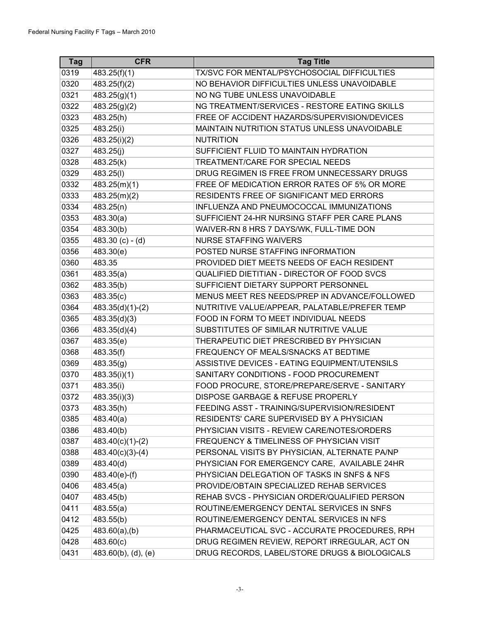| <b>Tag</b> | <b>CFR</b>                | <b>Tag Title</b>                              |
|------------|---------------------------|-----------------------------------------------|
| 0319       | $\overline{483.25(f)(1)}$ | TX/SVC FOR MENTAL/PSYCHOSOCIAL DIFFICULTIES   |
| 0320       | 483.25(f)(2)              | NO BEHAVIOR DIFFICULTIES UNLESS UNAVOIDABLE   |
| 0321       | 483.25(g)(1)              | NO NG TUBE UNLESS UNAVOIDABLE                 |
| 0322       | 483.25(g)(2)              | NG TREATMENT/SERVICES - RESTORE EATING SKILLS |
| 0323       | 483.25(h)                 | FREE OF ACCIDENT HAZARDS/SUPERVISION/DEVICES  |
| 0325       | 483.25(i)                 | MAINTAIN NUTRITION STATUS UNLESS UNAVOIDABLE  |
| 0326       | 483.25(i)(2)              | <b>NUTRITION</b>                              |
| 0327       | 483.25(j)                 | SUFFICIENT FLUID TO MAINTAIN HYDRATION        |
| 0328       | 483.25(k)                 | TREATMENT/CARE FOR SPECIAL NEEDS              |
| 0329       | 483.25(I)                 | DRUG REGIMEN IS FREE FROM UNNECESSARY DRUGS   |
| 0332       | 483.25(m)(1)              | FREE OF MEDICATION ERROR RATES OF 5% OR MORE  |
| 0333       | 483.25(m)(2)              | RESIDENTS FREE OF SIGNIFICANT MED ERRORS      |
| 0334       | 483.25(n)                 | INFLUENZA AND PNEUMOCOCCAL IMMUNIZATIONS      |
| 0353       | 483.30(a)                 | SUFFICIENT 24-HR NURSING STAFF PER CARE PLANS |
| 0354       | 483.30(b)                 | WAIVER-RN 8 HRS 7 DAYS/WK, FULL-TIME DON      |
| 0355       | 483.30 $(c) - (d)$        | <b>NURSE STAFFING WAIVERS</b>                 |
| 0356       | 483.30(e)                 | POSTED NURSE STAFFING INFORMATION             |
| 0360       | 483.35                    | PROVIDED DIET MEETS NEEDS OF EACH RESIDENT    |
| 0361       | 483.35(a)                 | QUALIFIED DIETITIAN - DIRECTOR OF FOOD SVCS   |
| 0362       | 483.35(b)                 | SUFFICIENT DIETARY SUPPORT PERSONNEL          |
| 0363       | 483.35(c)                 | MENUS MEET RES NEEDS/PREP IN ADVANCE/FOLLOWED |
| 0364       | $483.35(d)(1)-(2)$        | NUTRITIVE VALUE/APPEAR, PALATABLE/PREFER TEMP |
| 0365       | 483.35(d)(3)              | FOOD IN FORM TO MEET INDIVIDUAL NEEDS         |
| 0366       | 483.35(d)(4)              | SUBSTITUTES OF SIMILAR NUTRITIVE VALUE        |
| 0367       | 483.35(e)                 | THERAPEUTIC DIET PRESCRIBED BY PHYSICIAN      |
| 0368       | 483.35(f)                 | FREQUENCY OF MEALS/SNACKS AT BEDTIME          |
| 0369       | 483.35(g)                 | ASSISTIVE DEVICES - EATING EQUIPMENT/UTENSILS |
| 0370       | 483.35(i)(1)              | SANITARY CONDITIONS - FOOD PROCUREMENT        |
| 0371       | 483.35(i)                 | FOOD PROCURE, STORE/PREPARE/SERVE - SANITARY  |
| 0372       | 483.35(i)(3)              | DISPOSE GARBAGE & REFUSE PROPERLY             |
| 0373       | 483.35(h)                 | FEEDING ASST - TRAINING/SUPERVISION/RESIDENT  |
| 0385       | 483.40(a)                 | RESIDENTS' CARE SUPERVISED BY A PHYSICIAN     |
| 0386       | 483.40(b)                 | PHYSICIAN VISITS - REVIEW CARE/NOTES/ORDERS   |
| 0387       | $483.40(c)(1)-(2)$        | FREQUENCY & TIMELINESS OF PHYSICIAN VISIT     |
| 0388       | $483.40(c)(3)-(4)$        | PERSONAL VISITS BY PHYSICIAN, ALTERNATE PA/NP |
| 0389       | 483.40(d)                 | PHYSICIAN FOR EMERGENCY CARE, AVAILABLE 24HR  |
| 0390       | 483.40(e)-(f)             | PHYSICIAN DELEGATION OF TASKS IN SNFS & NFS   |
| 0406       | 483.45(a)                 | PROVIDE/OBTAIN SPECIALIZED REHAB SERVICES     |
| 0407       | 483.45(b)                 | REHAB SVCS - PHYSICIAN ORDER/QUALIFIED PERSON |
| 0411       | 483.55(a)                 | ROUTINE/EMERGENCY DENTAL SERVICES IN SNFS     |
| 0412       | 483.55(b)                 | ROUTINE/EMERGENCY DENTAL SERVICES IN NFS      |
| 0425       | $483.60(a)$ , (b)         | PHARMACEUTICAL SVC - ACCURATE PROCEDURES, RPH |
| 0428       | 483.60(c)                 | DRUG REGIMEN REVIEW, REPORT IRREGULAR, ACT ON |
| 0431       | $483.60(b)$ , (d), (e)    | DRUG RECORDS, LABEL/STORE DRUGS & BIOLOGICALS |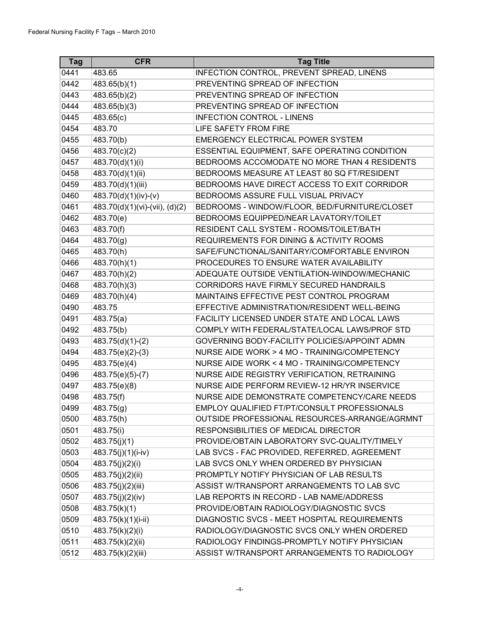| <b>Tag</b> | <b>CFR</b>                     | <b>Tag Title</b>                                    |
|------------|--------------------------------|-----------------------------------------------------|
| 0441       | 483.65                         | INFECTION CONTROL, PREVENT SPREAD, LINENS           |
| 0442       | 483.65(b)(1)                   | PREVENTING SPREAD OF INFECTION                      |
| 0443       | 483.65(b)(2)                   | PREVENTING SPREAD OF INFECTION                      |
| 0444       | 483.65(b)(3)                   | PREVENTING SPREAD OF INFECTION                      |
| 0445       | 483.65(c)                      | <b>INFECTION CONTROL - LINENS</b>                   |
| 0454       | 483.70                         | LIFE SAFETY FROM FIRE                               |
| 0455       | 483.70(b)                      | <b>EMERGENCY ELECTRICAL POWER SYSTEM</b>            |
| 0456       | 483.70(c)(2)                   | ESSENTIAL EQUIPMENT, SAFE OPERATING CONDITION       |
| 0457       | $\overline{483.70(d)(1)(i)}$   | BEDROOMS ACCOMODATE NO MORE THAN 4 RESIDENTS        |
| 0458       | 483.70(d)(1)(ii)               | BEDROOMS MEASURE AT LEAST 80 SQ FT/RESIDENT         |
| 0459       | 483.70(d)(1)(iii)              | BEDROOMS HAVE DIRECT ACCESS TO EXIT CORRIDOR        |
| 0460       | 483.70(d)(1)(iv)-(v)           | BEDROOMS ASSURE FULL VISUAL PRIVACY                 |
| 0461       | 483.70(d)(1)(vi)-(vii), (d)(2) | BEDROOMS - WINDOW/FLOOR, BED/FURNITURE/CLOSET       |
| 0462       | 483.70(e)                      | BEDROOMS EQUIPPED/NEAR LAVATORY/TOILET              |
| 0463       | 483.70(f)                      | RESIDENT CALL SYSTEM - ROOMS/TOILET/BATH            |
| 0464       | 483.70(g)                      | <b>REQUIREMENTS FOR DINING &amp; ACTIVITY ROOMS</b> |
| 0465       | 483.70(h)                      | SAFE/FUNCTIONAL/SANITARY/COMFORTABLE ENVIRON        |
| 0466       | 483.70(h)(1)                   | PROCEDURES TO ENSURE WATER AVAILABILITY             |
| 0467       | 483.70(h)(2)                   | ADEQUATE OUTSIDE VENTILATION-WINDOW/MECHANIC        |
| 0468       | 483.70(h)(3)                   | CORRIDORS HAVE FIRMLY SECURED HANDRAILS             |
| 0469       | 483.70(h)(4)                   | MAINTAINS EFFECTIVE PEST CONTROL PROGRAM            |
| 0490       | 483.75                         | EFFECTIVE ADMINISTRATION/RESIDENT WELL-BEING        |
| 0491       | 483.75(a)                      | FACILITY LICENSED UNDER STATE AND LOCAL LAWS        |
| 0492       | 483.75(b)                      | COMPLY WITH FEDERAL/STATE/LOCAL LAWS/PROF STD       |
| 0493       | $483.75(d)(1)-(2)$             | GOVERNING BODY-FACILITY POLICIES/APPOINT ADMN       |
| 0494       | 483.75(e)(2)-(3)               | NURSE AIDE WORK > 4 MO - TRAINING/COMPETENCY        |
| 0495       | 483.75(e)(4)                   | NURSE AIDE WORK < 4 MO - TRAINING/COMPETENCY        |
| 0496       | 483.75(e)(5)-(7)               | NURSE AIDE REGISTRY VERIFICATION, RETRAINING        |
| 0497       | 483.75(e)(8)                   | NURSE AIDE PERFORM REVIEW-12 HR/YR INSERVICE        |
| 0498       | 483.75(f)                      | NURSE AIDE DEMONSTRATE COMPETENCY/CARE NEEDS        |
| 0499       | 483.75(g)                      | EMPLOY QUALIFIED FT/PT/CONSULT PROFESSIONALS        |
| 0500       | 483.75(h)                      | OUTSIDE PROFESSIONAL RESOURCES-ARRANGE/AGRMNT       |
| 0501       | 483.75(i)                      | RESPONSIBILITIES OF MEDICAL DIRECTOR                |
| 0502       | 483.75(j)(1)                   | PROVIDE/OBTAIN LABORATORY SVC-QUALITY/TIMELY        |
| 0503       | 483.75(j)(1)(i-iv)             | LAB SVCS - FAC PROVIDED, REFERRED, AGREEMENT        |
| 0504       | 483.75(j)(2)(i)                | LAB SVCS ONLY WHEN ORDERED BY PHYSICIAN             |
| 0505       | 483.75(j)(2)(ii)               | PROMPTLY NOTIFY PHYSICIAN OF LAB RESULTS            |
| 0506       | 483.75(j)(2)(iii)              | ASSIST W/TRANSPORT ARRANGEMENTS TO LAB SVC          |
| 0507       | 483.75(j)(2)(iv)               | LAB REPORTS IN RECORD - LAB NAME/ADDRESS            |
| 0508       | 483.75(k)(1)                   | PROVIDE/OBTAIN RADIOLOGY/DIAGNOSTIC SVCS            |
| 0509       | 483.75(k)(1)(i-ii)             | DIAGNOSTIC SVCS - MEET HOSPITAL REQUIREMENTS        |
| 0510       | 483.75(k)(2)(i)                | RADIOLOGY/DIAGNOSTIC SVCS ONLY WHEN ORDERED         |
| 0511       | 483.75(k)(2)(ii)               | RADIOLOGY FINDINGS-PROMPTLY NOTIFY PHYSICIAN        |
| 0512       | 483.75(k)(2)(iii)              | ASSIST W/TRANSPORT ARRANGEMENTS TO RADIOLOGY        |